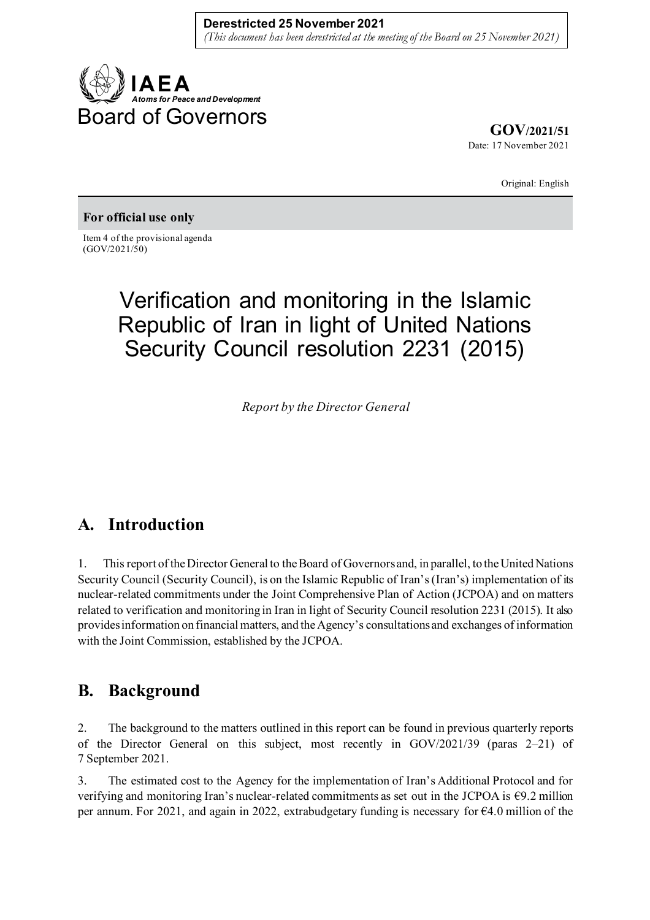

**GOV/2021/51** Date: 17 November 2021

Original: English

#### **For official use only**

Item 4 of the provisional agenda (GOV/2021/50)

# Verification and monitoring in the Islamic Republic of Iran in light of United Nations Security Council resolution 2231 (2015)

*Report by the Director General*

### **A. Introduction**

1. This report of the Director General to the Board of Governors and, in parallel, to the United Nations Security Council (Security Council), is on the Islamic Republic of Iran's (Iran's) implementation of its nuclear-related commitments under the Joint Comprehensive Plan of Action (JCPOA) and on matters related to verification and monitoring in Iran in light of Security Council resolution 2231 (2015). It also provides information on financial matters, and the Agency's consultations and exchanges of information with the Joint Commission, established by the JCPOA.

### **B. Background**

2. The background to the matters outlined in this report can be found in previous quarterly reports of the Director General on this subject, most recently in GOV/2021/39 (paras 2–21) of 7 September 2021.

3. The estimated cost to the Agency for the implementation of Iran's Additional Protocol and for verifying and monitoring Iran's nuclear-related commitments as set out in the JCPOA is €9.2 million per annum. For 2021, and again in 2022, extrabudgetary funding is necessary for €4.0 million of the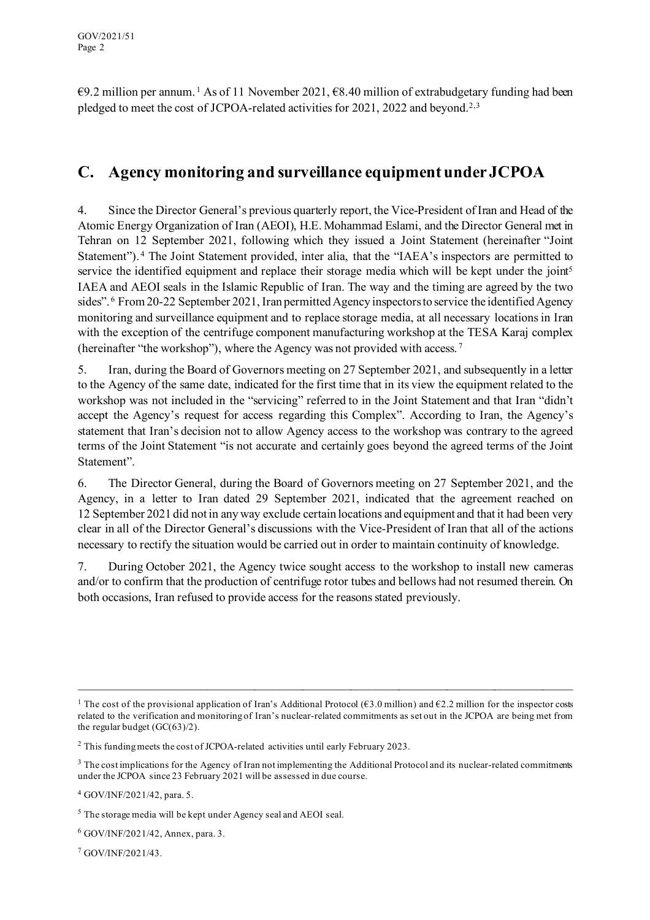$\epsilon$ 9.2 million per annum.<sup>[1](#page-1-0)</sup> As of 11 November 2021,  $\epsilon$ 8.40 million of extrabudgetary funding had been pledged to meet the cost of JCPOA-related activities for 2021, 2022 and beyond.[2](#page-1-1),[3](#page-1-2)

## **C. Agency monitoring and surveillance equipment under JCPOA**

4. Since the Director General's previous quarterly report, the Vice-President of Iran and Head of the Atomic Energy Organization of Iran (AEOI), H.E. Mohammad Eslami, and the Director General met in Tehran on 12 September 2021, following which they issued a Joint Statement (hereinafter "Joint Statement"). [4](#page-1-3) The Joint Statement provided, inter alia, that the "IAEA's inspectors are permitted to service the identified equipment and replace their storage media which will be kept under the joint<sup>[5](#page-1-4)</sup> IAEA and AEOI seals in the Islamic Republic of Iran. The way and the timing are agreed by the two sides". [6](#page-1-5) From 20-22 September 2021, Iran permitted Agency inspectors to service the identified Agency monitoring and surveillance equipment and to replace storage media, at all necessary locations in Iran with the exception of the centrifuge component manufacturing workshop at the TESA Karaj complex (hereinafter "the workshop"), where the Agency was not provided with access. [7](#page-1-6)

5. Iran, during the Board of Governors meeting on 27 September 2021, and subsequently in a letter to the Agency of the same date, indicated for the first time that in its view the equipment related to the workshop was not included in the "servicing" referred to in the Joint Statement and that Iran "didn't accept the Agency's request for access regarding this Complex". According to Iran, the Agency's statement that Iran's decision not to allow Agency access to the workshop was contrary to the agreed terms of the Joint Statement "is not accurate and certainly goes beyond the agreed terms of the Joint Statement".

6. The Director General, during the Board of Governors meeting on 27 September 2021, and the Agency, in a letter to Iran dated 29 September 2021, indicated that the agreement reached on 12 September 2021 did not in any way exclude certain locations and equipment and that it had been very clear in all of the Director General's discussions with the Vice-President of Iran that all of the actions necessary to rectify the situation would be carried out in order to maintain continuity of knowledge.

7. During October 2021, the Agency twice sought access to the workshop to install new cameras and/or to confirm that the production of centrifuge rotor tubes and bellows had not resumed therein. On both occasions, Iran refused to provide access for the reasons stated previously.

<span id="page-1-0"></span><sup>&</sup>lt;sup>1</sup> The cost of the provisional application of Iran's Additional Protocol ( $63.0$  million) and  $62.2$  million for the inspector costs related to the verification and monitoring of Iran's nuclear-related commitments as set out in the JCPOA are being met from the regular budget (GC(63)/2).

<span id="page-1-1"></span><sup>&</sup>lt;sup>2</sup> This funding meets the cost of JCPOA-related activities until early February 2023.

<span id="page-1-2"></span><sup>&</sup>lt;sup>3</sup> The cost implications for the Agency of Iran not implementing the Additional Protocol and its nuclear-related commitments under the JCPOA since 23 February 2021 will be assessed in due course.

<span id="page-1-3"></span><sup>4</sup> GOV/INF/2021/42, para. 5.

<span id="page-1-4"></span><sup>5</sup> The storage media will be kept under Agency seal and AEOI seal.

<span id="page-1-5"></span><sup>6</sup> GOV/INF/2021/42, Annex, para. 3.

<span id="page-1-6"></span><sup>7</sup> GOV/INF/2021/43.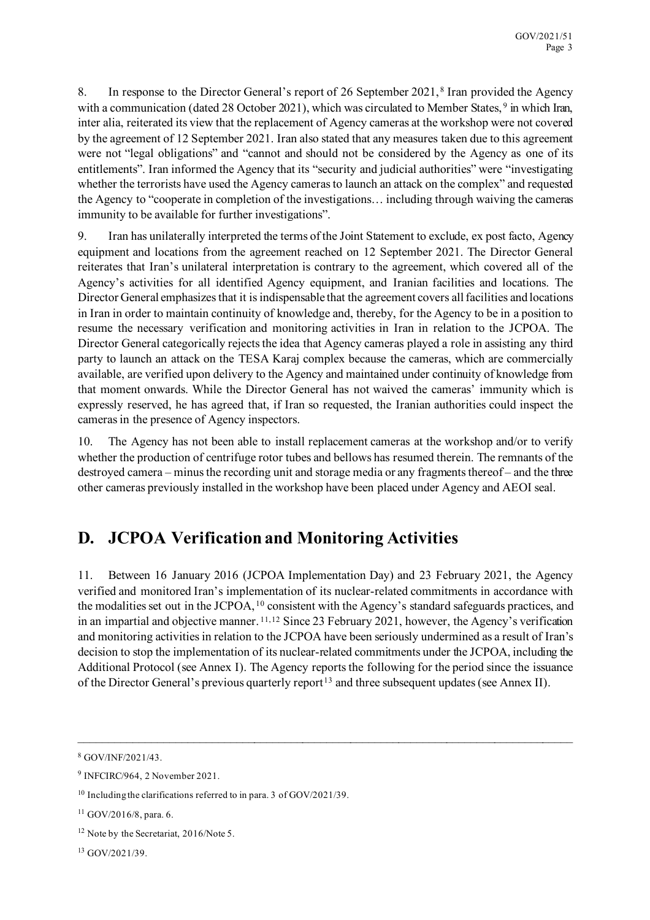8. In response to the Director General's report of 26 September 2021, [8](#page-2-0) Iran provided the Agency with a communication (dated 28 October 2021), which was circulated to Member States, <sup>[9](#page-2-1)</sup> in which Iran, inter alia, reiterated its view that the replacement of Agency cameras at the workshop were not covered by the agreement of 12 September 2021. Iran also stated that any measures taken due to this agreement were not "legal obligations" and "cannot and should not be considered by the Agency as one of its entitlements". Iran informed the Agency that its "security and judicial authorities" were "investigating whether the terrorists have used the Agency cameras to launch an attack on the complex" and requested the Agency to "cooperate in completion of the investigations… including through waiving the cameras immunity to be available for further investigations".

9. Iran has unilaterally interpreted the terms of the Joint Statement to exclude, ex post facto, Agency equipment and locations from the agreement reached on 12 September 2021. The Director General reiterates that Iran's unilateral interpretation is contrary to the agreement, which covered all of the Agency's activities for all identified Agency equipment, and Iranian facilities and locations. The Director General emphasizes that it is indispensable that the agreement covers all facilities and locations in Iran in order to maintain continuity of knowledge and, thereby, for the Agency to be in a position to resume the necessary verification and monitoring activities in Iran in relation to the JCPOA. The Director General categorically rejects the idea that Agency cameras played a role in assisting any third party to launch an attack on the TESA Karaj complex because the cameras, which are commercially available, are verified upon delivery to the Agency and maintained under continuity of knowledge from that moment onwards. While the Director General has not waived the cameras' immunity which is expressly reserved, he has agreed that, if Iran so requested, the Iranian authorities could inspect the cameras in the presence of Agency inspectors.

10. The Agency has not been able to install replacement cameras at the workshop and/or to verify whether the production of centrifuge rotor tubes and bellows has resumed therein. The remnants of the destroyed camera – minus the recording unit and storage media or any fragments thereof – and the three other cameras previously installed in the workshop have been placed under Agency and AEOI seal.

# **D. JCPOA Verification and Monitoring Activities**

11. Between 16 January 2016 (JCPOA Implementation Day) and 23 February 2021, the Agency verified and monitored Iran's implementation of its nuclear-related commitments in accordance with the modalities set out in the JCPOA, [10](#page-2-2) consistent with the Agency's standard safeguards practices, and in an impartial and objective manner. [11](#page-2-3),[12](#page-2-4) Since 23 February 2021, however, the Agency's verification and monitoring activities in relation to the JCPOA have been seriously undermined as a result of Iran's decision to stop the implementation of its nuclear-related commitments under the JCPOA, including the Additional Protocol (see Annex I). The Agency reports the following for the period since the issuance of the Director General's previous quarterly report<sup>[13](#page-2-5)</sup> and three subsequent updates (see Annex II).

 $\_$  , and the contribution of the contribution of the contribution of the contribution of  $\mathcal{L}_\text{max}$ 

<span id="page-2-0"></span><sup>8</sup> GOV/INF/2021/43.

<span id="page-2-1"></span><sup>9</sup> INFCIRC/964, 2 November 2021.

<span id="page-2-2"></span><sup>&</sup>lt;sup>10</sup> Including the clarifications referred to in para. 3 of GOV/2021/39.

<span id="page-2-3"></span> $11$  GOV/2016/8, para. 6.

<span id="page-2-4"></span><sup>&</sup>lt;sup>12</sup> Note by the Secretariat, 2016/Note 5.

<span id="page-2-5"></span><sup>13</sup> GOV/2021/39.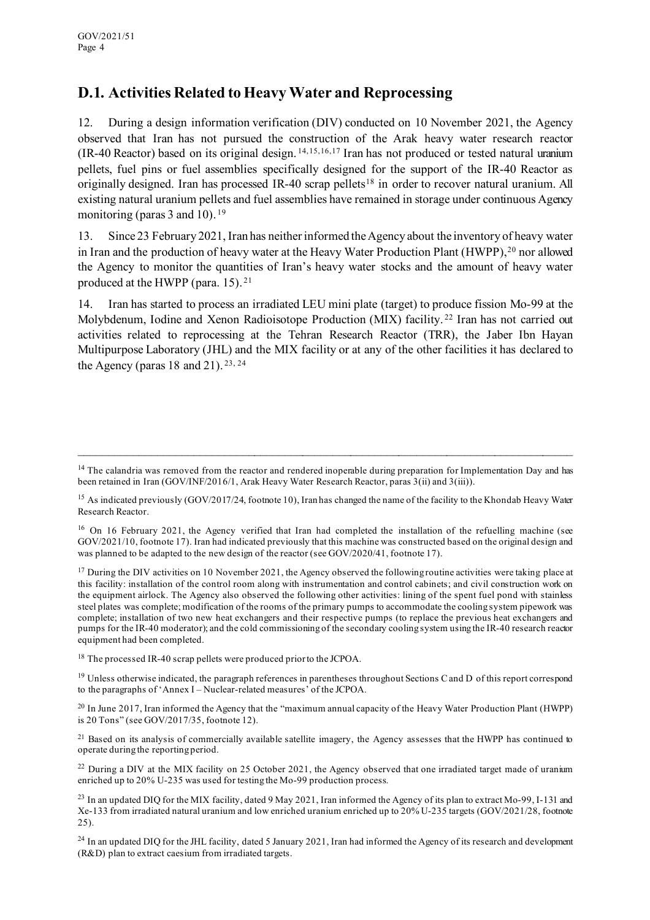### **D.1. Activities Related to Heavy Water and Reprocessing**

12. During a design information verification (DIV) conducted on 10 November 2021, the Agency observed that Iran has not pursued the construction of the Arak heavy water research reactor (IR-40 Reactor) based on its original design. [14,](#page-3-0)[15](#page-3-1),[16,](#page-3-2)[17](#page-3-3) Iran has not produced or tested natural uranium pellets, fuel pins or fuel assemblies specifically designed for the support of the IR-40 Reactor as originally designed. Iran has processed IR-40 scrap pellets<sup>[18](#page-3-4)</sup> in order to recover natural uranium. All existing natural uranium pellets and fuel assemblies have remained in storage under continuous Agency monitoring (paras 3 and 10).<sup>[19](#page-3-5)</sup>

13. Since 23 February 2021, Iran has neither informed the Agency about the inventory of heavy water in Iran and the production of heavy water at the Heavy Water Production Plant (HWPP), [20](#page-3-6) nor allowed the Agency to monitor the quantities of Iran's heavy water stocks and the amount of heavy water produced at the HWPP (para. 15). [21](#page-3-7)

14. Iran has started to process an irradiated LEU mini plate (target) to produce fission Mo-99 at the Molybdenum, Iodine and Xenon Radioisotope Production (MIX) facility. [22](#page-3-8) Iran has not carried out activities related to reprocessing at the Tehran Research Reactor (TRR), the Jaber Ibn Hayan Multipurpose Laboratory (JHL) and the MIX facility or at any of the other facilities it has declared to the Agency (paras  $18$  and  $21$ ).  $23, 24$  $23, 24$  $23, 24$ 

\_\_\_\_\_\_\_\_\_\_\_\_\_\_\_\_\_\_\_\_\_\_\_\_\_\_\_\_\_\_\_\_\_\_\_\_\_\_\_\_\_\_\_\_\_\_\_\_\_\_\_\_\_\_\_\_\_\_\_\_\_\_\_\_\_\_\_\_\_\_\_\_\_\_\_\_\_\_\_\_\_\_

<span id="page-3-3"></span> $17$  During the DIV activities on 10 November 2021, the Agency observed the following routine activities were taking place at this facility: installation of the control room along with instrumentation and control cabinets; and civil construction work on the equipment airlock. The Agency also observed the following other activities: lining of the spent fuel pond with stainless steel plates was complete; modification of the rooms of the primary pumps to accommodate the cooling system pipework was complete; installation of two new heat exchangers and their respective pumps (to replace the previous heat exchangers and pumps for the IR-40 moderator); and the cold commissioning of the secondary cooling system using the IR-40 research reactor equipment had been completed.

<span id="page-3-4"></span><sup>18</sup> The processed IR-40 scrap pellets were produced prior to the JCPOA.

<span id="page-3-5"></span> $19$  Unless otherwise indicated, the paragraph references in parentheses throughout Sections C and D of this report correspond to the paragraphs of 'Annex I – Nuclear-related measures' of the JCPOA.

<span id="page-3-6"></span> $^{20}$  In June 2017, Iran informed the Agency that the "maximum annual capacity of the Heavy Water Production Plant (HWPP) is 20 Tons" (see GOV/2017/35, footnote 12).

<span id="page-3-7"></span> $21$  Based on its analysis of commercially available satellite imagery, the Agency assesses that the HWPP has continued to operate during the reporting period.

<span id="page-3-8"></span><sup>22</sup> During a DIV at the MIX facility on 25 October 2021, the Agency observed that one irradiated target made of uranium enriched up to 20% U-235 was used for testing the Mo-99 production process.

<span id="page-3-10"></span><sup>24</sup> In an updated DIQ for the JHL facility, dated 5 January 2021, Iran had informed the Agency of its research and development (R&D) plan to extract caesium from irradiated targets.

<span id="page-3-0"></span><sup>&</sup>lt;sup>14</sup> The calandria was removed from the reactor and rendered inoperable during preparation for Implementation Day and has been retained in Iran (GOV/INF/2016/1, Arak Heavy Water Research Reactor, paras 3(ii) and 3(iii)).

<span id="page-3-1"></span><sup>&</sup>lt;sup>15</sup> As indicated previously (GOV/2017/24, footnote 10), Iran has changed the name of the facility to the Khondab Heavy Water Research Reactor.

<span id="page-3-2"></span><sup>&</sup>lt;sup>16</sup> On 16 February 2021, the Agency verified that Iran had completed the installation of the refuelling machine (see GOV/2021/10, footnote 17). Iran had indicated previously that this machine was constructed based on the original design and was planned to be adapted to the new design of the reactor (see GOV/2020/41, footnote 17).

<span id="page-3-9"></span><sup>&</sup>lt;sup>23</sup> In an updated DIQ for the MIX facility, dated 9 May 2021, Iran informed the Agency of its plan to extract Mo-99, I-131 and Xe-133 from irradiated natural uranium and low enriched uranium enriched up to 20% U-235 targets (GOV/2021/28, footnote 25).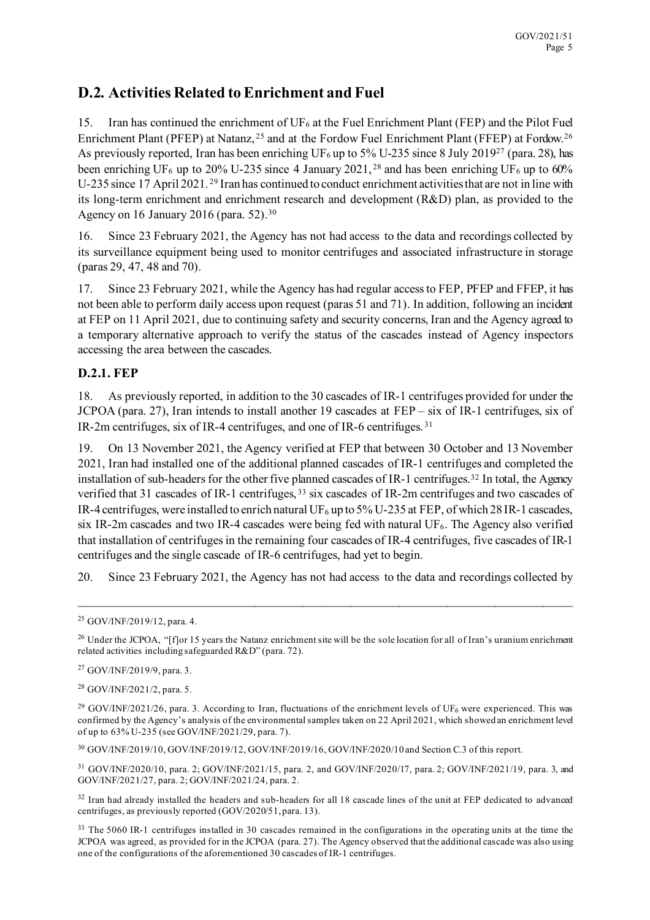### **D.2. Activities Related to Enrichment and Fuel**

15. Iran has continued the enrichment of  $UF_6$  at the Fuel Enrichment Plant (FEP) and the Pilot Fuel Enrichment Plant (PFEP) at Natanz, <sup>[25](#page-4-0)</sup> and at the Fordow Fuel Enrichment Plant (FFEP) at Fordow.<sup>[26](#page-4-1)</sup> As previously reported, Iran has been enriching UF<sub>6</sub> up to 5% U-235 since 8 July 2019<sup>27</sup> (para. 28), has been enriching UF<sub>6</sub> up to 20% U-235 since 4 January 2021, <sup>[28](#page-4-3)</sup> and has been enriching UF<sub>6</sub> up to 60% U-235 since 17 April 2021. [29](#page-4-4) Iran has continued to conduct enrichment activities that are not in line with its long-term enrichment and enrichment research and development (R&D) plan, as provided to the Agency on 16 January 2016 (para. 52).[30](#page-4-5)

16. Since 23 February 2021, the Agency has not had access to the data and recordings collected by its surveillance equipment being used to monitor centrifuges and associated infrastructure in storage (paras 29, 47, 48 and 70).

17. Since 23 February 2021, while the Agency has had regular access to FEP, PFEP and FFEP, it has not been able to perform daily access upon request (paras 51 and 71). In addition, following an incident at FEP on 11 April 2021, due to continuing safety and security concerns, Iran and the Agency agreed to a temporary alternative approach to verify the status of the cascades instead of Agency inspectors accessing the area between the cascades.

#### **D.2.1. FEP**

18. As previously reported, in addition to the 30 cascades of IR-1 centrifuges provided for under the JCPOA (para. 27), Iran intends to install another 19 cascades at FEP – six of IR-1 centrifuges, six of IR-2m centrifuges, six of IR-4 centrifuges, and one of IR-6 centrifuges. [31](#page-4-6)

19. On 13 November 2021, the Agency verified at FEP that between 30 October and 13 November 2021, Iran had installed one of the additional planned cascades of IR-1 centrifuges and completed the installation of sub-headers for the other five planned cascades of IR-1 centrifuges.<sup>[32](#page-4-7)</sup> In total, the Agency verified that 31 cascades of IR-1 centrifuges, [33](#page-4-8) six cascades of IR-2m centrifuges and two cascades of IR-4 centrifuges, were installed to enrich natural UF<sub>6</sub> up to 5% U-235 at FEP, of which 28 IR-1 cascades, six IR-2m cascades and two IR-4 cascades were being fed with natural UF6. The Agency also verified that installation of centrifuges in the remaining four cascades of IR-4 centrifuges, five cascades of IR-1 centrifuges and the single cascade of IR-6 centrifuges, had yet to begin.

20. Since 23 February 2021, the Agency has not had access to the data and recordings collected by

\_\_\_\_\_\_\_\_\_\_\_\_\_\_\_\_\_\_\_\_\_\_\_\_\_\_\_\_\_\_\_\_\_\_\_\_\_\_\_\_\_\_\_\_\_\_\_\_\_\_\_\_\_\_\_\_\_\_\_\_\_\_\_\_\_\_\_\_\_\_\_\_\_\_\_\_\_\_\_\_\_\_

<span id="page-4-5"></span><sup>30</sup> GOV/INF/2019/10, GOV/INF/2019/12, GOV/INF/2019/16, GOV/INF/2020/10 and Section C.3 of this report.

<span id="page-4-6"></span><sup>31</sup> GOV/INF/2020/10, para. 2; GOV/INF/2021/15, para. 2, and GOV/INF/2020/17, para. 2; GOV/INF/2021/19, para. 3, and GOV/INF/2021/27, para. 2; GOV/INF/2021/24, para. 2.

<span id="page-4-7"></span><sup>32</sup> Iran had already installed the headers and sub-headers for all 18 cascade lines of the unit at FEP dedicated to advanced centrifuges, as previously reported (GOV/2020/51, para. 13).

<span id="page-4-0"></span><sup>25</sup> GOV/INF/2019/12, para. 4.

<span id="page-4-1"></span><sup>&</sup>lt;sup>26</sup> Under the JCPOA, "[f]or 15 years the Natanz enrichment site will be the sole location for all of Iran's uranium enrichment related activities including safeguarded R&D" (para. 72).

<span id="page-4-2"></span><sup>27</sup> GOV/INF/2019/9, para. 3.

<span id="page-4-3"></span><sup>28</sup> GOV/INF/2021/2, para. 5.

<span id="page-4-4"></span><sup>&</sup>lt;sup>29</sup> GOV/INF/2021/26, para. 3. According to Iran, fluctuations of the enrichment levels of UF<sub>6</sub> were experienced. This was confirmed by the Agency's analysis of the environmental samples taken on 22 April 2021, which showed an enrichment level of up to 63% U-235 (see GOV/INF/2021/29, para. 7).

<span id="page-4-8"></span><sup>&</sup>lt;sup>33</sup> The 5060 IR-1 centrifuges installed in 30 cascades remained in the configurations in the operating units at the time the JCPOA was agreed, as provided for in the JCPOA (para. 27). The Agency observed that the additional cascade was also using one of the configurations of the aforementioned 30 cascades of IR-1 centrifuges.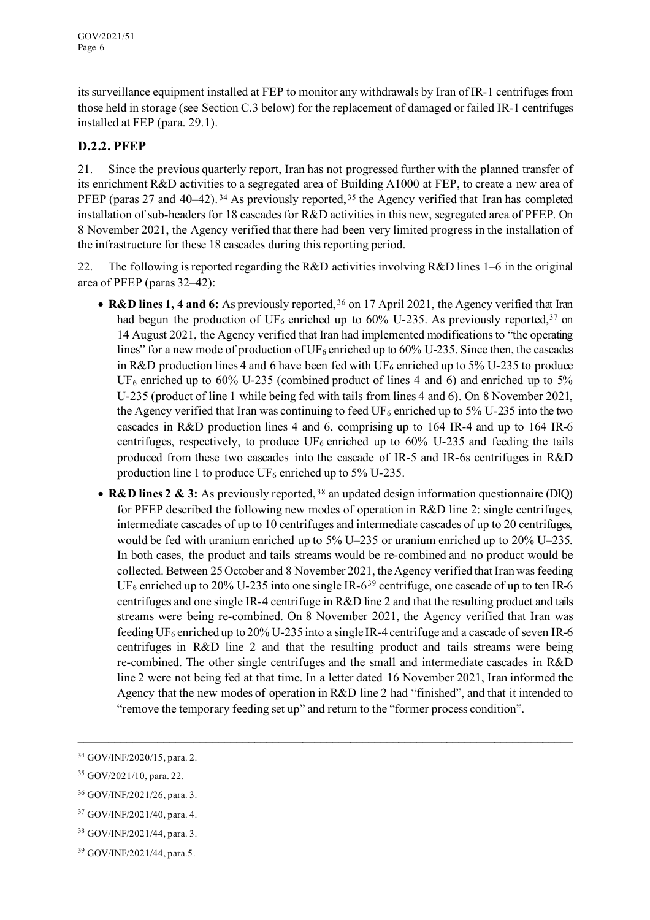its surveillance equipment installed at FEP to monitor any withdrawals by Iran of IR-1 centrifuges from those held in storage (see Section C.3 below) for the replacement of damaged or failed IR-1 centrifuges installed at FEP (para. 29.1).

#### **D.2.2. PFEP**

21. Since the previous quarterly report, Iran has not progressed further with the planned transfer of its enrichment R&D activities to a segregated area of Building A1000 at FEP, to create a new area of PFEP (paras 27 and 40–42).<sup>[34](#page-5-0)</sup> As previously reported,<sup>[35](#page-5-1)</sup> the Agency verified that Iran has completed installation of sub-headers for 18 cascades for R&D activities in this new, segregated area of PFEP. On 8 November 2021, the Agency verified that there had been very limited progress in the installation of the infrastructure for these 18 cascades during this reporting period.

22. The following is reported regarding the R&D activities involving R&D lines 1–6 in the original area of PFEP (paras 32–42):

- **R&D lines 1, 4 and 6:** As previously reported, [36](#page-5-2) on 17 April 2021, the Agency verified that Iran had begun the production of UF<sub>6</sub> enriched up to 60% U-235. As previously reported,<sup>[37](#page-5-3)</sup> on 14 August 2021, the Agency verified that Iran had implemented modifications to "the operating lines" for a new mode of production of  $UF_6$  enriched up to 60% U-235. Since then, the cascades in R&D production lines 4 and 6 have been fed with  $UF_6$  enriched up to 5% U-235 to produce UF<sub>6</sub> enriched up to 60% U-235 (combined product of lines 4 and 6) and enriched up to 5% U-235 (product of line 1 while being fed with tails from lines 4 and 6). On 8 November 2021, the Agency verified that Iran was continuing to feed UF<sub>6</sub> enriched up to 5% U-235 into the two cascades in R&D production lines 4 and 6, comprising up to 164 IR-4 and up to 164 IR-6 centrifuges, respectively, to produce  $UF_6$  enriched up to 60% U-235 and feeding the tails produced from these two cascades into the cascade of IR-5 and IR-6s centrifuges in R&D production line 1 to produce  $UF_6$  enriched up to 5% U-235.
- **R&D lines 2 & 3:** As previously reported, [38](#page-5-4) an updated design information questionnaire (DIQ) for PFEP described the following new modes of operation in R&D line 2: single centrifuges, intermediate cascades of up to 10 centrifuges and intermediate cascades of up to 20 centrifuges, would be fed with uranium enriched up to 5% U–235 or uranium enriched up to 20% U–235. In both cases, the product and tails streams would be re-combined and no product would be collected. Between 25 October and 8 November 2021, the Agency verified that Iran was feeding  $UF_6$  enriched up to 20% U-235 into one single IR-6<sup>[39](#page-5-5)</sup> centrifuge, one cascade of up to ten IR-6 centrifuges and one single IR-4 centrifuge in R&D line 2 and that the resulting product and tails streams were being re-combined. On 8 November 2021, the Agency verified that Iran was feeding UF<sub>6</sub> enriched up to 20% U-235 into a single IR-4 centrifuge and a cascade of seven IR-6 centrifuges in R&D line 2 and that the resulting product and tails streams were being re-combined. The other single centrifuges and the small and intermediate cascades in R&D line 2 were not being fed at that time. In a letter dated 16 November 2021, Iran informed the Agency that the new modes of operation in R&D line 2 had "finished", and that it intended to "remove the temporary feeding set up" and return to the "former process condition".

 $\_$  , and the contribution of the contribution of the contribution of the contribution of the contribution of  $\mathcal{L}$ 

<span id="page-5-0"></span><sup>34</sup> GOV/INF/2020/15, para. 2.

<span id="page-5-1"></span><sup>35</sup> GOV/2021/10, para. 22.

<span id="page-5-2"></span><sup>36</sup> GOV/INF/2021/26, para. 3.

<span id="page-5-3"></span><sup>37</sup> GOV/INF/2021/40, para. 4.

<span id="page-5-4"></span><sup>38</sup> GOV/INF/2021/44, para. 3.

<span id="page-5-5"></span><sup>39</sup> GOV/INF/2021/44, para.5.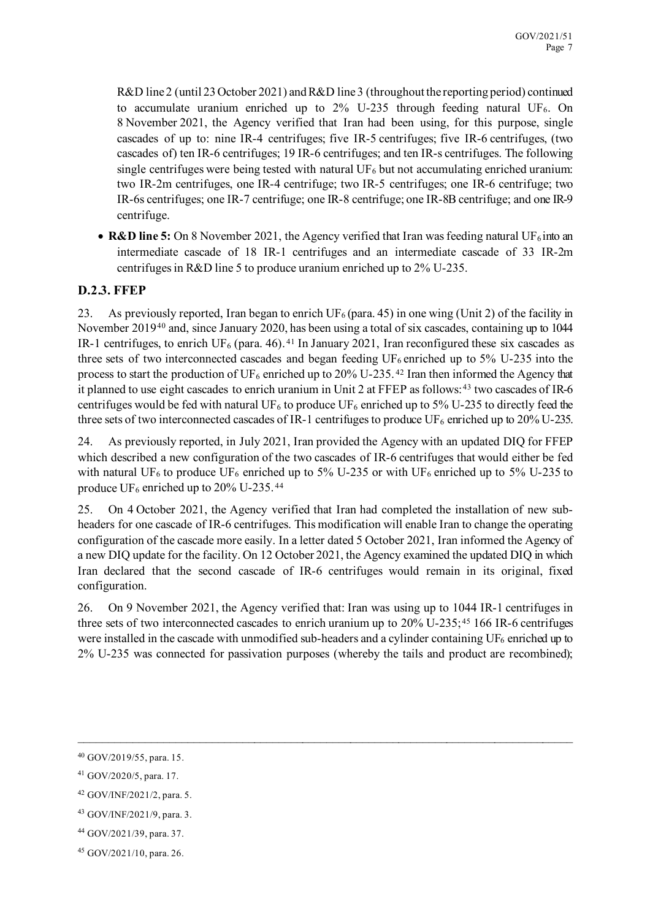R&D line 2 (until 23 October 2021) and R&D line 3 (throughout the reporting period) continued to accumulate uranium enriched up to  $2\%$  U-235 through feeding natural UF<sub>6</sub>. On 8 November 2021, the Agency verified that Iran had been using, for this purpose, single cascades of up to: nine IR-4 centrifuges; five IR-5 centrifuges; five IR-6 centrifuges, (two cascades of) ten IR-6 centrifuges; 19 IR-6 centrifuges; and ten IR-s centrifuges. The following single centrifuges were being tested with natural  $UF<sub>6</sub>$  but not accumulating enriched uranium: two IR-2m centrifuges, one IR-4 centrifuge; two IR-5 centrifuges; one IR-6 centrifuge; two IR-6s centrifuges; one IR-7 centrifuge; one IR-8 centrifuge; one IR-8B centrifuge; and one IR-9 centrifuge.

• **R&D line 5:** On 8 November 2021, the Agency verified that Iran was feeding natural UF $_6$  into an intermediate cascade of 18 IR-1 centrifuges and an intermediate cascade of 33 IR-2m centrifuges in R&D line 5 to produce uranium enriched up to 2% U-235.

#### **D.2.3. FFEP**

23. As previously reported, Iran began to enrich UF<sub>6</sub> (para. 45) in one wing (Unit 2) of the facility in November 2019[40](#page-6-0) and, since January 2020, has been using a total of six cascades, containing up to 1044 IR-1 centrifuges, to enrich UF<sub>6</sub> (para. 46).<sup>[41](#page-6-1)</sup> In January 2021, Iran reconfigured these six cascades as three sets of two interconnected cascades and began feeding  $UF_6$  enriched up to 5% U-235 into the process to start the production of UF<sub>6</sub> enriched up to 20% U-235.<sup>[42](#page-6-2)</sup> Iran then informed the Agency that it planned to use eight cascades to enrich uranium in Unit 2 at FFEP as follows:  $43$  two cascades of IR-6 centrifuges would be fed with natural UF<sub>6</sub> to produce UF<sub>6</sub> enriched up to 5% U-235 to directly feed the three sets of two interconnected cascades of IR-1 centrifuges to produce UF<sub>6</sub> enriched up to 20% U-235.

24. As previously reported, in July 2021, Iran provided the Agency with an updated DIQ for FFEP which described a new configuration of the two cascades of IR-6 centrifuges that would either be fed with natural UF<sub>6</sub> to produce UF<sub>6</sub> enriched up to 5% U-235 or with UF<sub>6</sub> enriched up to 5% U-235 to produce  $UF_6$  enriched up to 20% U-235.<sup>[44](#page-6-4)</sup>

25. On 4 October 2021, the Agency verified that Iran had completed the installation of new subheaders for one cascade of IR-6 centrifuges. This modification will enable Iran to change the operating configuration of the cascade more easily. In a letter dated 5 October 2021, Iran informed the Agency of a new DIQ update for the facility. On 12 October 2021, the Agency examined the updated DIQ in which Iran declared that the second cascade of IR-6 centrifuges would remain in its original, fixed configuration.

26. On 9 November 2021, the Agency verified that: Iran was using up to 1044 IR-1 centrifuges in three sets of two interconnected cascades to enrich uranium up to 20% U-235; [45](#page-6-5) 166 IR-6 centrifuges were installed in the cascade with unmodified sub-headers and a cylinder containing  $UF_6$  enriched up to 2% U-235 was connected for passivation purposes (whereby the tails and product are recombined);

 $\_$  , and the contribution of the contribution of the contribution of the contribution of  $\mathcal{L}_\text{max}$ 

<span id="page-6-0"></span><sup>40</sup> GOV/2019/55, para. 15.

<span id="page-6-1"></span><sup>41</sup> GOV/2020/5, para. 17.

<span id="page-6-2"></span><sup>42</sup> GOV/INF/2021/2, para. 5.

<span id="page-6-3"></span><sup>43</sup> GOV/INF/2021/9, para. 3.

<span id="page-6-4"></span><sup>44</sup> GOV/2021/39, para. 37.

<span id="page-6-5"></span><sup>45</sup> GOV/2021/10, para. 26.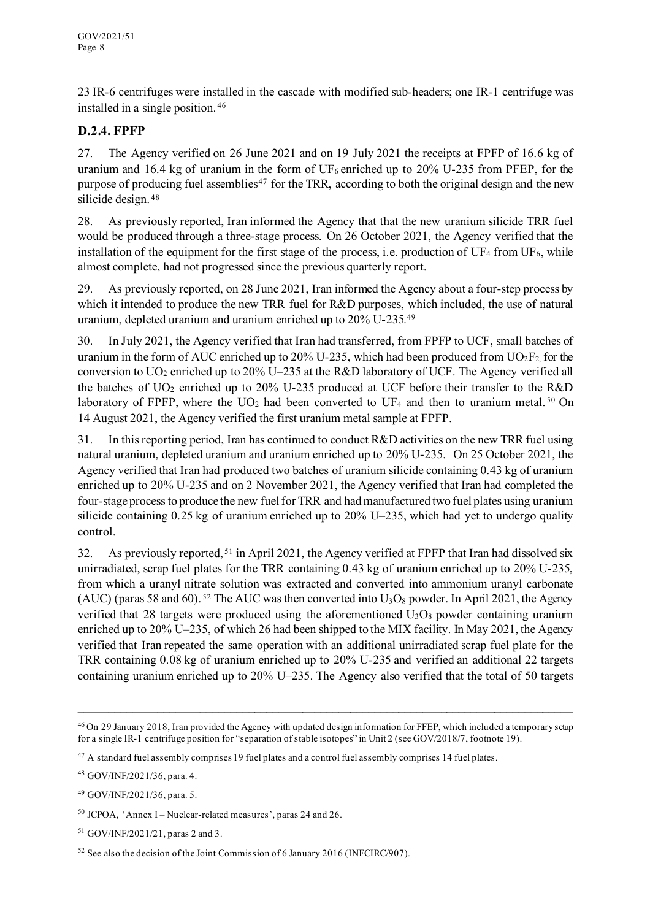23 IR-6 centrifuges were installed in the cascade with modified sub-headers; one IR-1 centrifuge was installed in a single position. [46](#page-7-0)

#### **D.2.4. FPFP**

27. The Agency verified on 26 June 2021 and on 19 July 2021 the receipts at FPFP of 16.6 kg of uranium and 16.4 kg of uranium in the form of UF<sub>6</sub> enriched up to 20% U-235 from PFEP, for the purpose of producing fuel assemblies<sup>[47](#page-7-1)</sup> for the TRR, according to both the original design and the new silicide design. [48](#page-7-2)

28. As previously reported, Iran informed the Agency that that the new uranium silicide TRR fuel would be produced through a three-stage process. On 26 October 2021, the Agency verified that the installation of the equipment for the first stage of the process, i.e. production of  $UF_4$  from  $UF_6$ , while almost complete, had not progressed since the previous quarterly report.

29. As previously reported, on 28 June 2021, Iran informed the Agency about a four-step process by which it intended to produce the new TRR fuel for R&D purposes, which included, the use of natural uranium, depleted uranium and uranium enriched up to 20% U-235.[49](#page-7-3)

30. In July 2021, the Agency verified that Iran had transferred, from FPFP to UCF, small batches of uranium in the form of AUC enriched up to 20% U-235, which had been produced from  $UO_2F_2$  for the conversion to UO<sub>2</sub> enriched up to 20% U–235 at the R&D laboratory of UCF. The Agency verified all the batches of  $UO_2$  enriched up to 20% U-235 produced at UCF before their transfer to the R&D laboratory of FPFP, where the  $UO<sub>2</sub>$  had been converted to UF<sub>4</sub> and then to uranium metal.<sup>[50](#page-7-4)</sup> On 14 August 2021, the Agency verified the first uranium metal sample at FPFP.

31. In this reporting period, Iran has continued to conduct R&D activities on the new TRR fuel using natural uranium, depleted uranium and uranium enriched up to 20% U-235. On 25 October 2021, the Agency verified that Iran had produced two batches of uranium silicide containing 0.43 kg of uranium enriched up to 20% U-235 and on 2 November 2021, the Agency verified that Iran had completed the four-stage process to produce the new fuel for TRR and had manufactured two fuel plates using uranium silicide containing 0.25 kg of uranium enriched up to 20% U–235, which had yet to undergo quality control.

32. As previously reported, [51](#page-7-5) in April 2021, the Agency verified at FPFP that Iran had dissolved six unirradiated, scrap fuel plates for the TRR containing 0.43 kg of uranium enriched up to 20% U-235, from which a uranyl nitrate solution was extracted and converted into ammonium uranyl carbonate (AUC) (paras 58 and 60). <sup>[52](#page-7-6)</sup> The AUC was then converted into  $U_3O_8$  powder. In April 2021, the Agency verified that 28 targets were produced using the aforementioned  $U_3O_8$  powder containing uranium enriched up to 20% U–235, of which 26 had been shipped to the MIX facility. In May 2021, the Agency verified that Iran repeated the same operation with an additional unirradiated scrap fuel plate for the TRR containing 0.08 kg of uranium enriched up to 20% U-235 and verified an additional 22 targets containing uranium enriched up to 20% U–235. The Agency also verified that the total of 50 targets

<span id="page-7-0"></span><sup>46</sup> On 29 January 2018, Iran provided the Agency with updated design information for FFEP, which included a temporary setup for a single IR-1 centrifuge position for "separation of stable isotopes" in Unit 2 (see GOV/2018/7, footnote 19).

<span id="page-7-1"></span><sup>&</sup>lt;sup>47</sup> A standard fuel assembly comprises 19 fuel plates and a control fuel assembly comprises 14 fuel plates.

<span id="page-7-2"></span><sup>48</sup> GOV/INF/2021/36, para. 4.

<span id="page-7-3"></span><sup>49</sup> GOV/INF/2021/36, para. 5.

<span id="page-7-4"></span><sup>50</sup> JCPOA, 'Annex I – Nuclear-related measures', paras 24 and 26.

<span id="page-7-5"></span><sup>51</sup> GOV/INF/2021/21, paras 2 and 3.

<span id="page-7-6"></span><sup>&</sup>lt;sup>52</sup> See also the decision of the Joint Commission of 6 January 2016 (INFCIRC/907).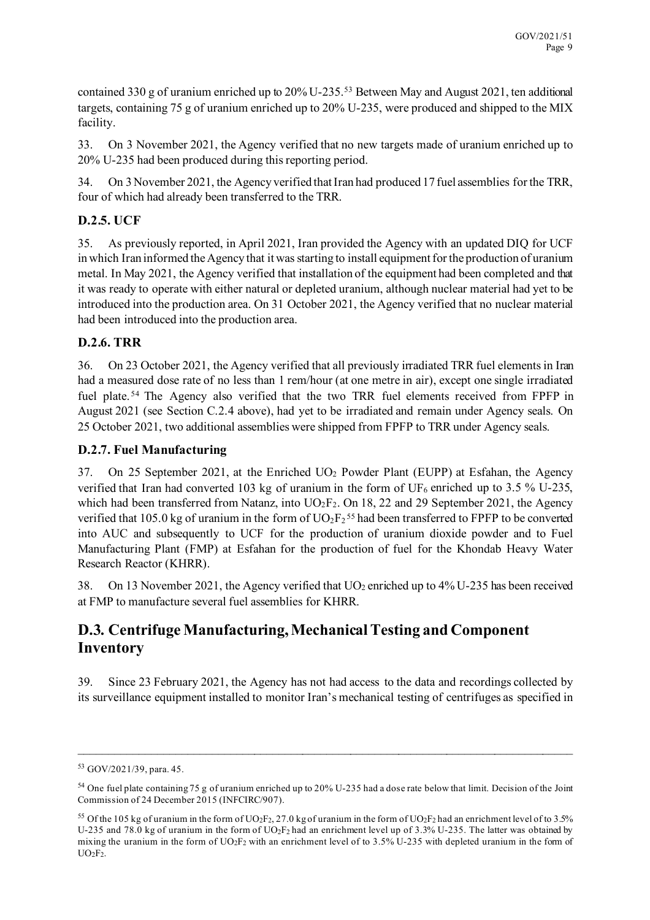contained 330 g of uranium enriched up to  $20\%$  U-235.<sup>[53](#page-8-0)</sup> Between May and August 2021, ten additional targets, containing 75 g of uranium enriched up to 20% U-235, were produced and shipped to the MIX facility.

33. On 3 November 2021, the Agency verified that no new targets made of uranium enriched up to 20% U-235 had been produced during this reporting period.

34. On 3 November 2021, the Agency verified that Iran had produced 17 fuel assemblies for the TRR, four of which had already been transferred to the TRR.

### **D.2.5. UCF**

35. As previously reported, in April 2021, Iran provided the Agency with an updated DIQ for UCF in which Iran informed the Agency that it was starting to install equipment for the production of uranium metal. In May 2021, the Agency verified that installation of the equipment had been completed and that it was ready to operate with either natural or depleted uranium, although nuclear material had yet to be introduced into the production area. On 31 October 2021, the Agency verified that no nuclear material had been introduced into the production area.

#### **D.2.6. TRR**

36. On 23 October 2021, the Agency verified that all previously irradiated TRR fuel elements in Iran had a measured dose rate of no less than 1 rem/hour (at one metre in air), except one single irradiated fuel plate.<sup>[54](#page-8-1)</sup> The Agency also verified that the two TRR fuel elements received from FPFP in August 2021 (see Section C.2.4 above), had yet to be irradiated and remain under Agency seals. On 25 October 2021, two additional assemblies were shipped from FPFP to TRR under Agency seals.

#### **D.2.7. Fuel Manufacturing**

37. On 25 September 2021, at the Enriched UO2 Powder Plant (EUPP) at Esfahan, the Agency verified that Iran had converted 103 kg of uranium in the form of  $UF_6$  enriched up to 3.5 % U-235, which had been transferred from Natanz, into  $UO_2F_2$ . On 18, 22 and 29 September 2021, the Agency verified that 105.0 kg of uranium in the form of  $UO_2F_2^{55}$  $UO_2F_2^{55}$  $UO_2F_2^{55}$  had been transferred to FPFP to be converted into AUC and subsequently to UCF for the production of uranium dioxide powder and to Fuel Manufacturing Plant (FMP) at Esfahan for the production of fuel for the Khondab Heavy Water Research Reactor (KHRR).

38. On 13 November 2021, the Agency verified that  $UO_2$  enriched up to 4% U-235 has been received at FMP to manufacture several fuel assemblies for KHRR.

### **D.3. Centrifuge Manufacturing, Mechanical Testing and Component Inventory**

39. Since 23 February 2021, the Agency has not had access to the data and recordings collected by its surveillance equipment installed to monitor Iran's mechanical testing of centrifuges as specified in

<span id="page-8-0"></span><sup>53</sup> GOV/2021/39, para. 45.

<span id="page-8-1"></span><sup>54</sup> One fuel plate containing 75 g of uranium enriched up to 20% U-235 had a dose rate below that limit. Decision of the Joint Commission of 24 December 2015 (INFCIRC/907).

<span id="page-8-2"></span><sup>&</sup>lt;sup>55</sup> Of the 105 kg of uranium in the form of UO<sub>2</sub>F<sub>2</sub>, 27.0 kg of uranium in the form of UO<sub>2</sub>F<sub>2</sub> had an enrichment level of to 3.5% U-235 and 78.0 kg of uranium in the form of UO2F2 had an enrichment level up of 3.3% U-235. The latter was obtained by mixing the uranium in the form of UO2F2 with an enrichment level of to 3.5% U-235 with depleted uranium in the form of  $UO<sub>2</sub>F<sub>2</sub>$ .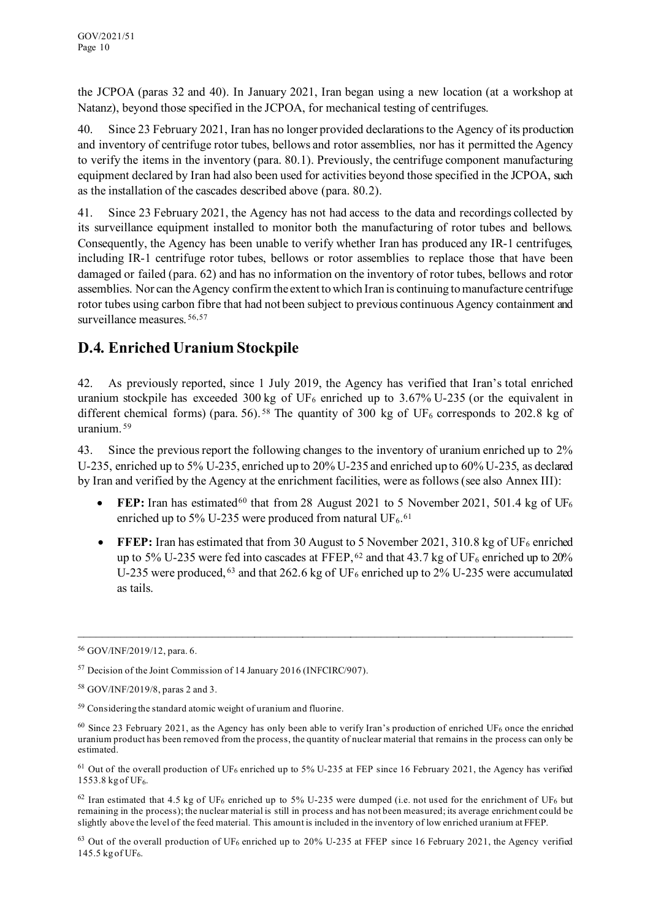the JCPOA (paras 32 and 40). In January 2021, Iran began using a new location (at a workshop at Natanz), beyond those specified in the JCPOA, for mechanical testing of centrifuges.

40. Since 23 February 2021, Iran has no longer provided declarations to the Agency of its production and inventory of centrifuge rotor tubes, bellows and rotor assemblies, nor has it permitted the Agency to verify the items in the inventory (para. 80.1). Previously, the centrifuge component manufacturing equipment declared by Iran had also been used for activities beyond those specified in the JCPOA, such as the installation of the cascades described above (para. 80.2).

41. Since 23 February 2021, the Agency has not had access to the data and recordings collected by its surveillance equipment installed to monitor both the manufacturing of rotor tubes and bellows. Consequently, the Agency has been unable to verify whether Iran has produced any IR-1 centrifuges, including IR-1 centrifuge rotor tubes, bellows or rotor assemblies to replace those that have been damaged or failed (para. 62) and has no information on the inventory of rotor tubes, bellows and rotor assemblies. Nor can the Agency confirm the extent to which Iran is continuing to manufacture centrifuge rotor tubes using carbon fibre that had not been subject to previous continuous Agency containment and surveillance measures. [56,](#page-9-0)[57](#page-9-1)

### **D.4. Enriched Uranium Stockpile**

42. As previously reported, since 1 July 2019, the Agency has verified that Iran's total enriched uranium stockpile has exceeded 300 kg of UF<sub>6</sub> enriched up to 3.67% U-235 (or the equivalent in different chemical forms) (para. 56).<sup>[58](#page-9-2)</sup> The quantity of 300 kg of UF<sub>6</sub> corresponds to 202.8 kg of uranium. [59](#page-9-3)

43. Since the previous report the following changes to the inventory of uranium enriched up to 2% U-235, enriched up to 5% U-235, enriched up to 20% U-235 and enriched up to 60% U-235, as declared by Iran and verified by the Agency at the enrichment facilities, were as follows(see also Annex III):

- **FEP:** Iran has estimated<sup>[60](#page-9-4)</sup> that from 28 August 2021 to 5 November 2021, 501.4 kg of UF<sub>6</sub> enriched up to 5% U-235 were produced from natural UF<sub>6</sub>.<sup>[61](#page-9-5)</sup>
- **FFEP:** Iran has estimated that from 30 August to 5 November 2021, 310.8 kg of UF<sub>6</sub> enriched up to 5% U-235 were fed into cascades at FFEP,  $62$  and that 43.7 kg of UF<sub>6</sub> enriched up to 20% U-235 were produced,  $63$  and that 262.6 kg of UF<sub>6</sub> enriched up to 2% U-235 were accumulated as tails.

\_\_\_\_\_\_\_\_\_\_\_\_\_\_\_\_\_\_\_\_\_\_\_\_\_\_\_\_\_\_\_\_\_\_\_\_\_\_\_\_\_\_\_\_\_\_\_\_\_\_\_\_\_\_\_\_\_\_\_\_\_\_\_\_\_\_\_\_\_\_\_\_\_\_\_\_\_\_\_\_\_\_

<span id="page-9-6"></span> $62$  Iran estimated that 4.5 kg of UF<sub>6</sub> enriched up to 5% U-235 were dumped (i.e. not used for the enrichment of UF<sub>6</sub> but remaining in the process); the nuclear material is still in process and has not been measured; its average enrichment could be slightly above the level of the feed material. This amount is included in the inventory of low enriched uranium at FFEP.

<span id="page-9-7"></span> $63$  Out of the overall production of UF<sub>6</sub> enriched up to 20% U-235 at FFEP since 16 February 2021, the Agency verified 145.5 kg of UF6.

<span id="page-9-0"></span><sup>56</sup> GOV/INF/2019/12, para. 6.

<span id="page-9-1"></span><sup>57</sup> Decision of the Joint Commission of 14 January 2016 (INFCIRC/907).

<span id="page-9-2"></span><sup>58</sup> GOV/INF/2019/8, paras 2 and 3.

<span id="page-9-3"></span><sup>59</sup> Considering the standard atomic weight of uranium and fluorine.

<span id="page-9-4"></span> $60$  Since 23 February 2021, as the Agency has only been able to verify Iran's production of enriched UF<sub>6</sub> once the enriched uranium product has been removed from the process, the quantity of nuclear material that remains in the process can only be estimated.

<span id="page-9-5"></span><sup>&</sup>lt;sup>61</sup> Out of the overall production of UF<sub>6</sub> enriched up to 5% U-235 at FEP since 16 February 2021, the Agency has verified 1553.8 kg of UF6.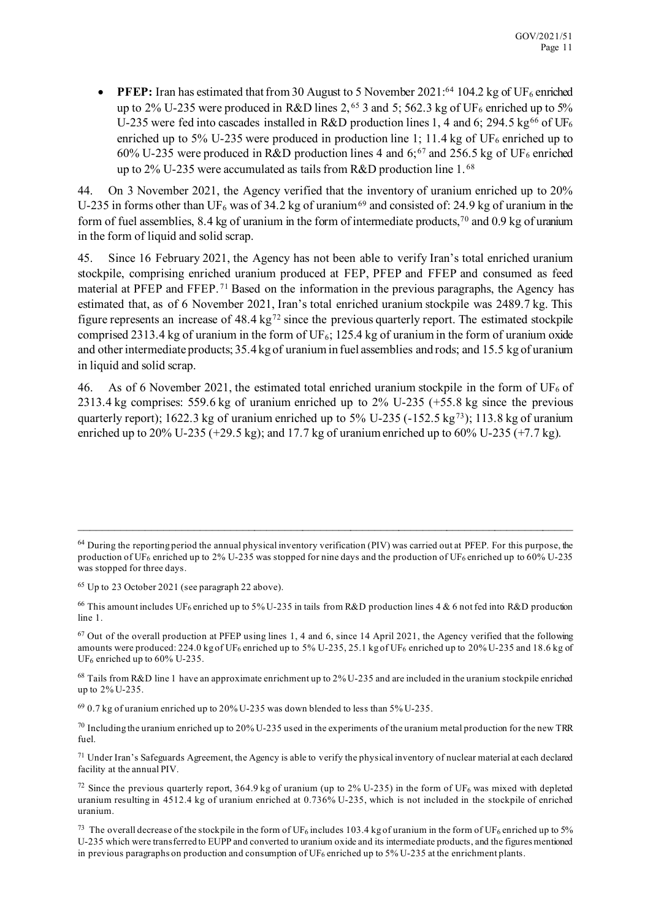• **PFEP:** Iran has estimated that from 30 August to 5 November 2021:<sup>[64](#page-10-0)</sup> 104.2 kg of UF<sub>6</sub> enriched up to 2% U-235 were produced in R&D lines 2,<sup>[65](#page-10-1)</sup> 3 and 5; 562.3 kg of UF<sub>6</sub> enriched up to 5% U-235 were fed into cascades installed in R&D production lines 1, 4 and 6; 294.5 kg<sup>[66](#page-10-2)</sup> of UF<sub>6</sub> enriched up to 5% U-235 were produced in production line 1; 11.4 kg of UF<sub>6</sub> enriched up to 60% U-235 were produced in R&D production lines 4 and 6;<sup>[67](#page-10-3)</sup> and 256.5 kg of UF<sub>6</sub> enriched up to  $2\%$  U-235 were accumulated as tails from R&D production line 1.<sup>[68](#page-10-4)</sup>

44. On 3 November 2021, the Agency verified that the inventory of uranium enriched up to 20% U-235 in forms other than UF<sub>6</sub> was of 34.2 kg of uranium<sup>[69](#page-10-5)</sup> and consisted of: 24.9 kg of uranium in the form of fuel assemblies, 8.4 kg of uranium in the form of intermediate products, [70](#page-10-6) and 0.9 kg of uranium in the form of liquid and solid scrap.

45. Since 16 February 2021, the Agency has not been able to verify Iran's total enriched uranium stockpile, comprising enriched uranium produced at FEP, PFEP and FFEP and consumed as feed material at PFEP and FFEP. [71](#page-10-7) Based on the information in the previous paragraphs, the Agency has estimated that, as of 6 November 2021, Iran's total enriched uranium stockpile was 2489.7 kg. This figure represents an increase of  $48.4 \text{ kg}^{72}$  $48.4 \text{ kg}^{72}$  $48.4 \text{ kg}^{72}$  since the previous quarterly report. The estimated stockpile comprised 2313.4 kg of uranium in the form of UF $_6$ ; 125.4 kg of uranium in the form of uranium oxide and other intermediate products; 35.4 kg of uranium in fuel assemblies and rods; and 15.5 kg of uranium in liquid and solid scrap.

46. As of 6 November 2021, the estimated total enriched uranium stockpile in the form of UF<sub>6</sub> of 2313.4 kg comprises: 559.6 kg of uranium enriched up to 2% U-235 (+55.8 kg since the previous quarterly report); 1622.3 kg of uranium enriched up to 5% U-235 (-152.5 kg<sup>73</sup>); 113.8 kg of uranium enriched up to  $20\%$  U-235 (+29.5 kg); and 17.7 kg of uranium enriched up to  $60\%$  U-235 (+7.7 kg).

<span id="page-10-0"></span> $64$  During the reporting period the annual physical inventory verification (PIV) was carried out at PFEP. For this purpose, the production of UF<sub>6</sub> enriched up to 2% U-235 was stopped for nine days and the production of UF<sub>6</sub> enriched up to 60% U-235 was stopped for three days.

<span id="page-10-1"></span><sup>65</sup> Up to 23 October 2021 (see paragraph 22 above).

<span id="page-10-2"></span><sup>&</sup>lt;sup>66</sup> This amount includes UF<sub>6</sub> enriched up to 5% U-235 in tails from R&D production lines 4 & 6 not fed into R&D production line 1.

<span id="page-10-3"></span> $67$  Out of the overall production at PFEP using lines 1, 4 and 6, since 14 April 2021, the Agency verified that the following amounts were produced: 224.0 kg of UF6 enriched up to 5% U-235, 25.1 kg of UF6 enriched up to 20% U-235 and 18.6 kg of UF6 enriched up to 60% U-235.

<span id="page-10-4"></span><sup>68</sup> Tails from R&D line 1 have an approximate enrichment up to 2% U-235 and are included in the uranium stockpile enriched up to 2% U-235.

<span id="page-10-5"></span><sup>69</sup> 0.7 kg of uranium enriched up to 20% U-235 was down blended to less than 5% U-235.

<span id="page-10-6"></span> $70$  Including the uranium enriched up to 20% U-235 used in the experiments of the uranium metal production for the new TRR fuel.

<span id="page-10-7"></span> $71$  Under Iran's Safeguards Agreement, the Agency is able to verify the physical inventory of nuclear material at each declared facility at the annual PIV.

<span id="page-10-8"></span><sup>&</sup>lt;sup>72</sup> Since the previous quarterly report, 364.9 kg of uranium (up to 2% U-235) in the form of UF<sub>6</sub> was mixed with depleted uranium resulting in 4512.4 kg of uranium enriched at 0.736% U-235, which is not included in the stockpile of enriched uranium.

<span id="page-10-9"></span><sup>&</sup>lt;sup>73</sup> The overall decrease of the stockpile in the form of UF<sub>6</sub> includes 103.4 kg of uranium in the form of UF<sub>6</sub> enriched up to 5% U-235 which were transferred to EUPP and converted to uranium oxide and its intermediate products, and the figures mentioned in previous paragraphs on production and consumption of UF<sub>6</sub> enriched up to 5% U-235 at the enrichment plants.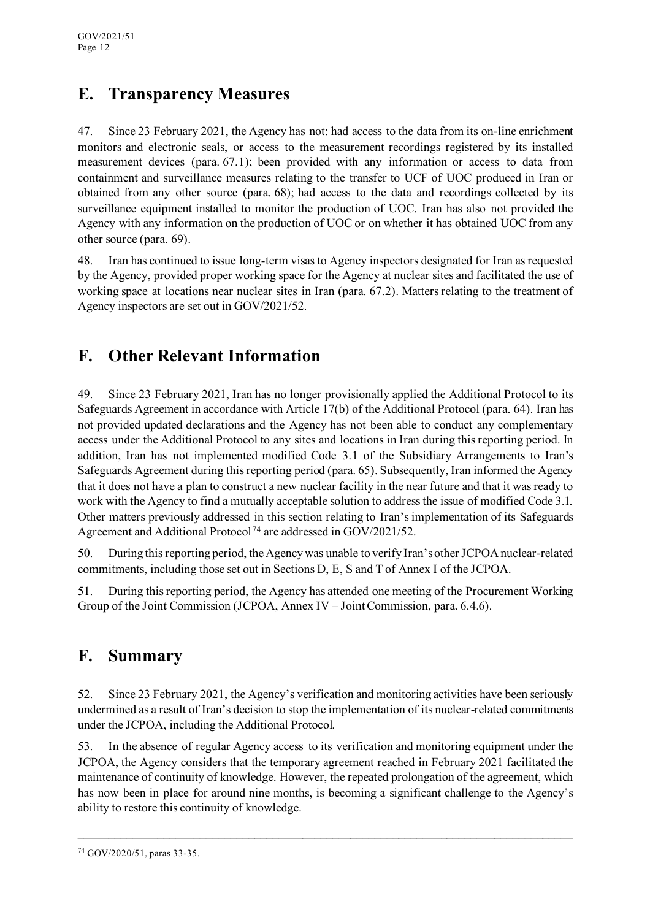# **E. Transparency Measures**

47. Since 23 February 2021, the Agency has not: had access to the data from its on-line enrichment monitors and electronic seals, or access to the measurement recordings registered by its installed measurement devices (para. 67.1); been provided with any information or access to data from containment and surveillance measures relating to the transfer to UCF of UOC produced in Iran or obtained from any other source (para. 68); had access to the data and recordings collected by its surveillance equipment installed to monitor the production of UOC. Iran has also not provided the Agency with any information on the production of UOC or on whether it has obtained UOC from any other source (para. 69).

48. Iran has continued to issue long-term visas to Agency inspectors designated for Iran as requested by the Agency, provided proper working space for the Agency at nuclear sites and facilitated the use of working space at locations near nuclear sites in Iran (para. 67.2). Matters relating to the treatment of Agency inspectors are set out in GOV/2021/52.

# **F. Other Relevant Information**

49. Since 23 February 2021, Iran has no longer provisionally applied the Additional Protocol to its Safeguards Agreement in accordance with Article 17(b) of the Additional Protocol (para. 64). Iran has not provided updated declarations and the Agency has not been able to conduct any complementary access under the Additional Protocol to any sites and locations in Iran during this reporting period. In addition, Iran has not implemented modified Code 3.1 of the Subsidiary Arrangements to Iran's Safeguards Agreement during this reporting period (para. 65). Subsequently, Iran informed the Agency that it does not have a plan to construct a new nuclear facility in the near future and that it was ready to work with the Agency to find a mutually acceptable solution to address the issue of modified Code 3.1. Other matters previously addressed in this section relating to Iran's implementation of its Safeguards Agreement and Additional Protocol [74](#page-11-0) are addressed in GOV/2021/52.

50. During this reporting period, the Agency was unable to verify Iran's otherJCPOA nuclear-related commitments, including those set out in Sections D, E, S and T of Annex I of the JCPOA.

51. During this reporting period, the Agency has attended one meeting of the Procurement Working Group of the Joint Commission (JCPOA, Annex IV – Joint Commission, para. 6.4.6).

# **F. Summary**

52. Since 23 February 2021, the Agency's verification and monitoring activities have been seriously undermined as a result of Iran's decision to stop the implementation of its nuclear-related commitments under the JCPOA, including the Additional Protocol.

53. In the absence of regular Agency access to its verification and monitoring equipment under the JCPOA, the Agency considers that the temporary agreement reached in February 2021 facilitated the maintenance of continuity of knowledge. However, the repeated prolongation of the agreement, which has now been in place for around nine months, is becoming a significant challenge to the Agency's ability to restore this continuity of knowledge.

<span id="page-11-0"></span><sup>74</sup> GOV/2020/51, paras 33-35.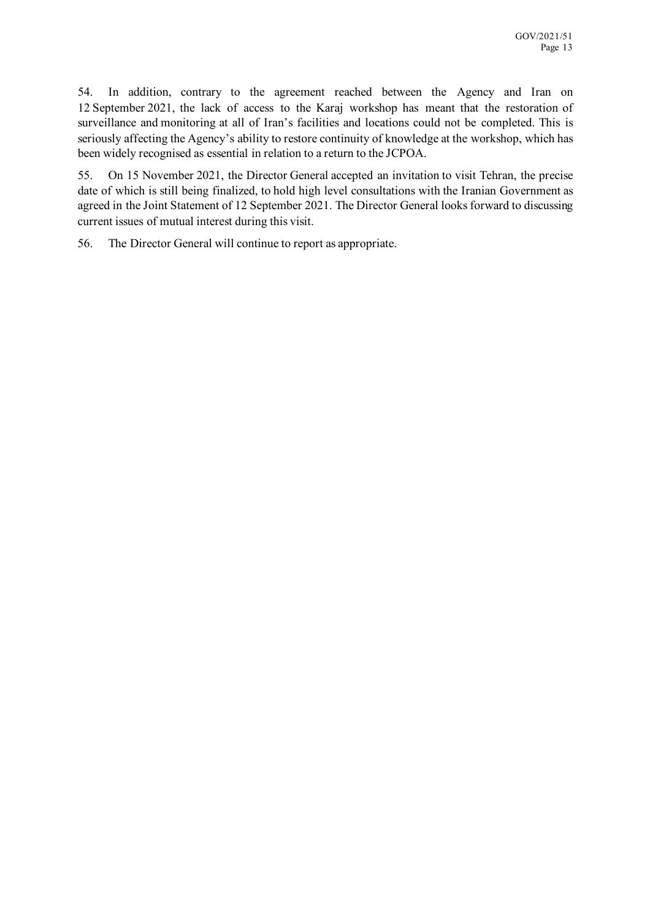54. In addition, contrary to the agreement reached between the Agency and Iran on 12 September 2021, the lack of access to the Karaj workshop has meant that the restoration of surveillance and monitoring at all of Iran's facilities and locations could not be completed. This is seriously affecting the Agency's ability to restore continuity of knowledge at the workshop, which has been widely recognised as essential in relation to a return to the JCPOA.

55. On 15 November 2021, the Director General accepted an invitation to visit Tehran, the precise date of which is still being finalized, to hold high level consultations with the Iranian Government as agreed in the Joint Statement of 12 September 2021. The Director General looks forward to discussing current issues of mutual interest during this visit.

56. The Director General will continue to report as appropriate.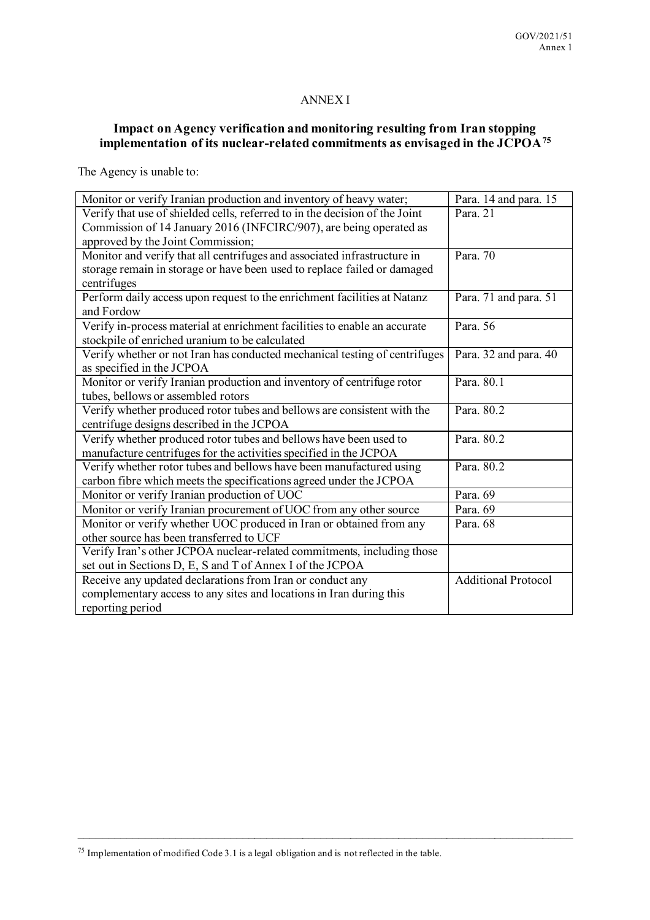#### ANNEX I

#### **Impact on Agency verification and monitoring resulting from Iran stopping implementation of its nuclear-related commitments as envisaged in the JCPOA[75](#page-14-0)**

The Agency is unable to:

| Monitor or verify Iranian production and inventory of heavy water;          | Para. 14 and para. 15      |
|-----------------------------------------------------------------------------|----------------------------|
| Verify that use of shielded cells, referred to in the decision of the Joint | Para, 21                   |
| Commission of 14 January 2016 (INFCIRC/907), are being operated as          |                            |
| approved by the Joint Commission;                                           |                            |
| Monitor and verify that all centrifuges and associated infrastructure in    | Para. $70$                 |
| storage remain in storage or have been used to replace failed or damaged    |                            |
| centrifuges                                                                 |                            |
| Perform daily access upon request to the enrichment facilities at Natanz    | Para. 71 and para. 51      |
| and Fordow                                                                  |                            |
| Verify in-process material at enrichment facilities to enable an accurate   | Para, 56                   |
| stockpile of enriched uranium to be calculated                              |                            |
| Verify whether or not Iran has conducted mechanical testing of centrifuges  | Para. 32 and para. 40      |
| as specified in the JCPOA                                                   |                            |
| Monitor or verify Iranian production and inventory of centrifuge rotor      | Para, 80.1                 |
| tubes, bellows or assembled rotors                                          |                            |
| Verify whether produced rotor tubes and bellows are consistent with the     | Para, 80.2                 |
| centrifuge designs described in the JCPOA                                   |                            |
| Verify whether produced rotor tubes and bellows have been used to           | Para, 80.2                 |
| manufacture centrifuges for the activities specified in the JCPOA           |                            |
| Verify whether rotor tubes and bellows have been manufactured using         | Para, 80.2                 |
| carbon fibre which meets the specifications agreed under the JCPOA          |                            |
| Monitor or verify Iranian production of UOC                                 | Para. 69                   |
| Monitor or verify Iranian procurement of UOC from any other source          | Para. 69                   |
| Monitor or verify whether UOC produced in Iran or obtained from any         | Para. 68                   |
| other source has been transferred to UCF                                    |                            |
| Verify Iran's other JCPOA nuclear-related commitments, including those      |                            |
| set out in Sections D, E, S and T of Annex I of the JCPOA                   |                            |
| Receive any updated declarations from Iran or conduct any                   | <b>Additional Protocol</b> |
| complementary access to any sites and locations in Iran during this         |                            |
| reporting period                                                            |                            |

<span id="page-14-0"></span><sup>75</sup> Implementation of modified Code 3.1 is a legal obligation and is not reflected in the table.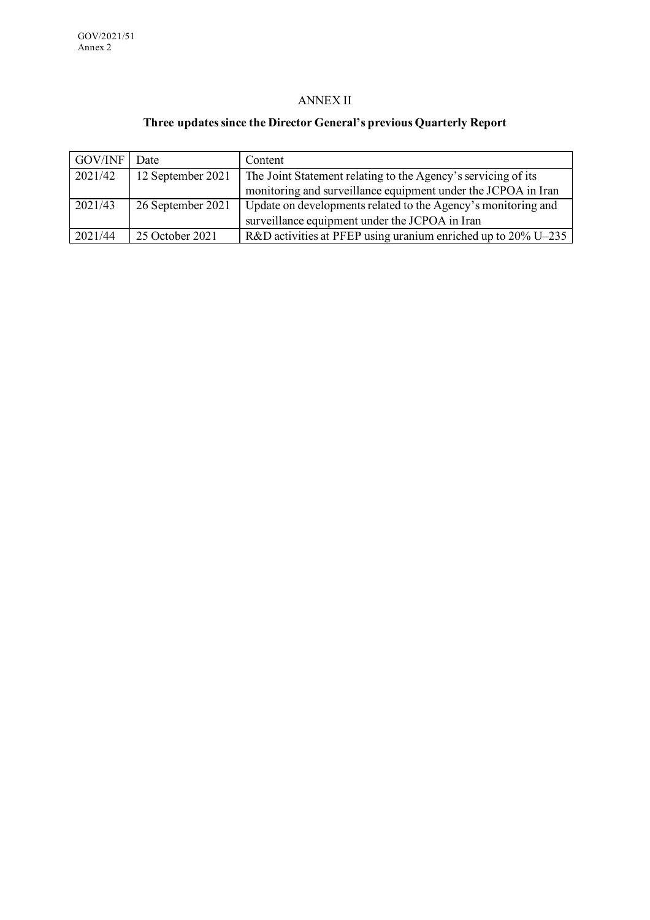#### ANNEX II

#### **Three updates since the Director General's previous Quarterly Report**

| <b>GOV/INF</b> | Date              | Content                                                       |
|----------------|-------------------|---------------------------------------------------------------|
| 2021/42        | 12 September 2021 | The Joint Statement relating to the Agency's servicing of its |
|                |                   | monitoring and surveillance equipment under the JCPOA in Iran |
| 2021/43        | 26 September 2021 | Update on developments related to the Agency's monitoring and |
|                |                   | surveillance equipment under the JCPOA in Iran                |
| 2021/44        | 25 October 2021   | R&D activities at PFEP using uranium enriched up to 20% U-235 |